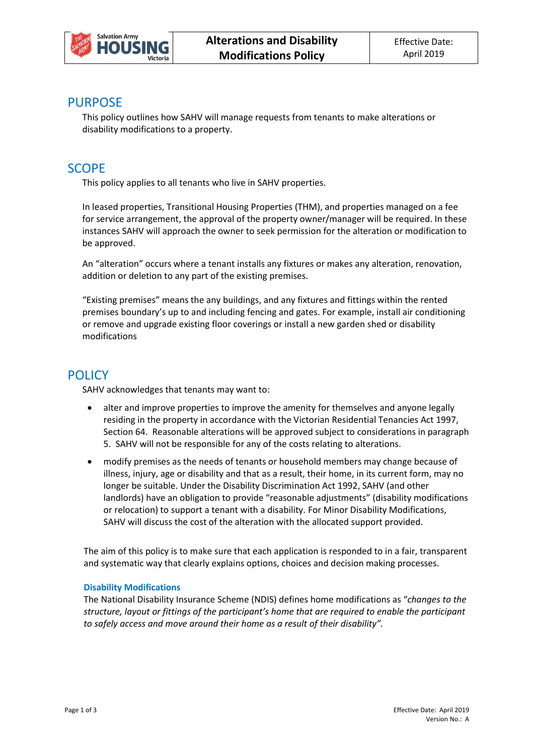

## PURPOSE

This policy outlines how SAHV will manage requests from tenants to make alterations or disability modifications to a property.

# **SCOPF**

This policy applies to all tenants who live in SAHV properties.

In leased properties, Transitional Housing Properties (THM), and properties managed on a fee for service arrangement, the approval of the property owner/manager will be required. In these instances SAHV will approach the owner to seek permission for the alteration or modification to be approved.

An "alteration" occurs where a tenant installs any fixtures or makes any alteration, renovation, addition or deletion to any part of the existing premises.

"Existing premises" means the any buildings, and any fixtures and fittings within the rented premises boundary's up to and including fencing and gates. For example, install air conditioning or remove and upgrade existing floor coverings or install a new garden shed or disability modifications

# **POLICY**

SAHV acknowledges that tenants may want to:

- alter and improve properties to improve the amenity for themselves and anyone legally residing in the property in accordance with the Victorian Residential Tenancies Act 1997, Section 64. Reasonable alterations will be approved subject to considerations in paragraph 5. SAHV will not be responsible for any of the costs relating to alterations.
- modify premises as the needs of tenants or household members may change because of illness, injury, age or disability and that as a result, their home, in its current form, may no longer be suitable. Under the Disability Discrimination Act 1992, SAHV (and other landlords) have an obligation to provide "reasonable adjustments" (disability modifications or relocation) to support a tenant with a disability. For Minor Disability Modifications, SAHV will discuss the cost of the alteration with the allocated support provided.

The aim of this policy is to make sure that each application is responded to in a fair, transparent and systematic way that clearly explains options, choices and decision making processes.

#### **Disability Modifications**

The National Disability Insurance Scheme (NDIS) defines home modifications as "*changes to the structure, layout or fittings of the participant's home that are required to enable the participant to safely access and move around their home as a result of their disability".*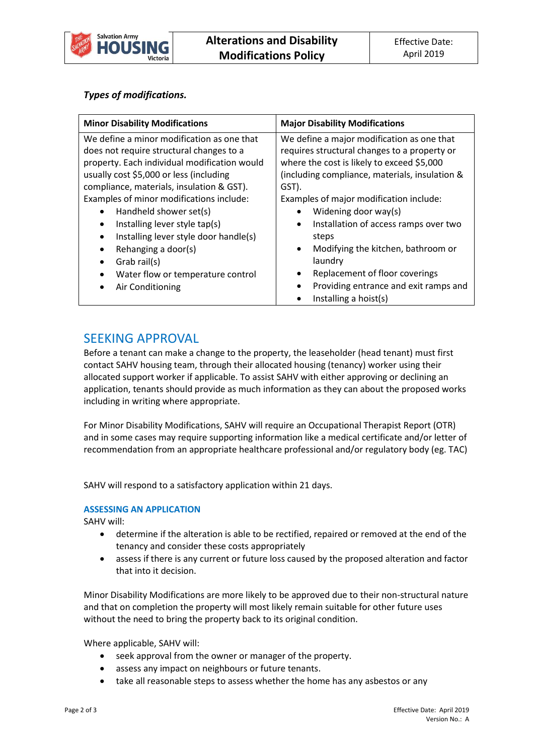

## *Types of modifications.*

# SEEKING APPROVAL

Before a tenant can make a change to the property, the leaseholder (head tenant) must first contact SAHV housing team, through their allocated housing (tenancy) worker using their allocated support worker if applicable. To assist SAHV with either approving or declining an application, tenants should provide as much information as they can about the proposed works including in writing where appropriate.

For Minor Disability Modifications, SAHV will require an Occupational Therapist Report (OTR) and in some cases may require supporting information like a medical certificate and/or letter of recommendation from an appropriate healthcare professional and/or regulatory body (eg. TAC)

SAHV will respond to a satisfactory application within 21 days.

### **ASSESSING AN APPLICATION**

SAHV will:

- determine if the alteration is able to be rectified, repaired or removed at the end of the tenancy and consider these costs appropriately
- assess if there is any current or future loss caused by the proposed alteration and factor that into it decision.

Minor Disability Modifications are more likely to be approved due to their non-structural nature and that on completion the property will most likely remain suitable for other future uses without the need to bring the property back to its original condition.

Where applicable, SAHV will:

- seek approval from the owner or manager of the property.
- assess any impact on neighbours or future tenants.
- take all reasonable steps to assess whether the home has any asbestos or any